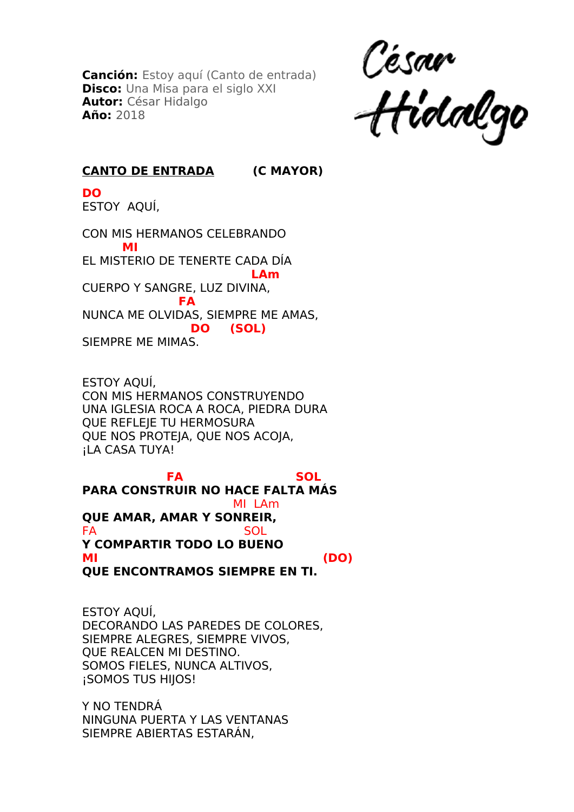**Canción:** Estoy aquí (Canto de entrada) **Disco:** Una Misa para el siglo XXI **Autor:** César Hidalgo **Año:** 2018

César<br>Hidalgo

## **CANTO DE ENTRADA (C MAYOR)**

**DO** ESTOY AQUÍ,

CON MIS HERMANOS CELEBRANDO  **MI** EL MISTERIO DE TENERTE CADA DÍA **LAm** CUERPO Y SANGRE, LUZ DIVINA,  **FA** NUNCA ME OLVIDAS, SIEMPRE ME AMAS,  **DO (SOL)** SIEMPRE ME MIMAS.

ESTOY AQUÍ, CON MIS HERMANOS CONSTRUYENDO UNA IGLESIA ROCA A ROCA, PIEDRA DURA QUE REFLEJE TU HERMOSURA QUE NOS PROTEJA, QUE NOS ACOJA, ¡LA CASA TUYA!

**FA** SOL **PARA CONSTRUIR NO HACE FALTA MÁS**  MI LAm **QUE AMAR, AMAR Y SONREIR,** FA SOL **Y COMPARTIR TODO LO BUENO MI (DO) QUE ENCONTRAMOS SIEMPRE EN TI.**

ESTOY AQUÍ, DECORANDO LAS PAREDES DE COLORES, SIEMPRE ALEGRES, SIEMPRE VIVOS, QUE REALCEN MI DESTINO. SOMOS FIELES, NUNCA ALTIVOS, ¡SOMOS TUS HIJOS!

Y NO TENDRÁ NINGUNA PUERTA Y LAS VENTANAS SIEMPRE ABIERTAS ESTARÁN,